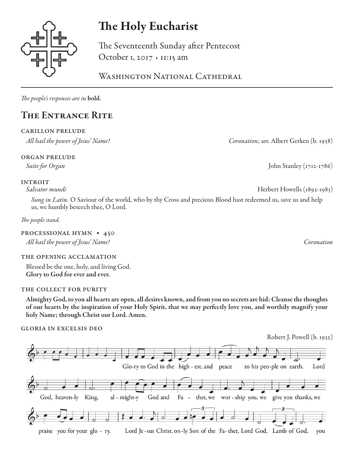

# The Holy Eucharist

The Seventeenth Sunday after Pentecost October 1, 2017 • 11:15 am

WASHINGTON NATIONAL CATHEDRAL

*The people's responses are in* bold.

# The Entrance Rite

# carillon prelude

organ prelude

*All hail the power of Jesus' Name! Coronation;* arr. Albert Gerken (b. 1938)

*Suite for Organ* John Stanley (1712-1786)

# **INTROIT**

*Salvator mundi* Herbert Howells (1892-1983)

*Sung in Latin.* O Saviour of the world, who by thy Cross and precious Blood hast redeemed us, save us and help us, we humbly beseech thee, O Lord.

*The people stand.* 

## processional hymn • 450 *All hail the power of Jesus' Name! Coronation*

# the opening acclamation

Blessed be the one, holy, and living God. Glory to God for ever and ever.

# the collect for purity

Almighty God, to you all hearts are open, all desires known, and from you no secrets are hid: Cleanse the thoughts of our hearts by the inspiration of your Holy Spirit, that we may perfectly love you, and worthily magnify your holy Name; through Christ our Lord. Amen.

# gloria in excelsis deo

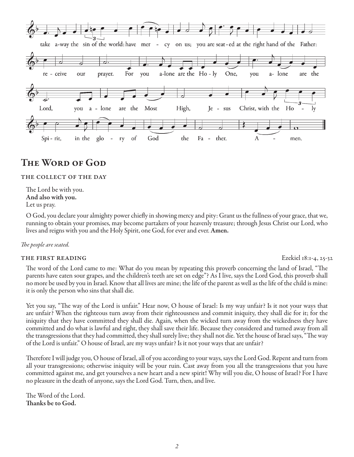

# The Word of God

#### THE COLLECT OF THE DAY

The Lord be with you. And also with you. Let us pray.

O God, you declare your almighty power chiefly in showing mercy and pity: Grant us the fullness of your grace, that we, running to obtain your promises, may become partakers of your heavenly treasure; through Jesus Christ our Lord, who lives and reigns with you and the Holy Spirit, one God, for ever and ever. Amen.

#### *The people are seated.*

#### THE FIRST READING Exercise reading the first reading the first reading the first reading the first reading to the first reading to the first reading to the first reading to the first reading to the first reading to the fir

The word of the Lord came to me: What do you mean by repeating this proverb concerning the land of Israel, "The parents have eaten sour grapes, and the children's teeth are set on edge"? As I live, says the Lord God, this proverb shall no more be used by you in Israel. Know that all lives are mine; the life of the parent as well as the life of the child is mine: it is only the person who sins that shall die.

Yet you say, "The way of the Lord is unfair." Hear now, O house of Israel: Is my way unfair? Is it not your ways that are unfair? When the righteous turn away from their righteousness and commit iniquity, they shall die for it; for the iniquity that they have committed they shall die. Again, when the wicked turn away from the wickedness they have committed and do what is lawful and right, they shall save their life. Because they considered and turned away from all the transgressions that they had committed, they shall surely live; they shall not die. Yet the house of Israel says, "The way of the Lord is unfair." O house of Israel, are my ways unfair? Is it not your ways that are unfair?

Therefore I will judge you, O house of Israel, all of you according to your ways, says the Lord God. Repent and turn from all your transgressions; otherwise iniquity will be your ruin. Cast away from you all the transgressions that you have committed against me, and get yourselves a new heart and a new spirit! Why will you die, O house of Israel? For I have no pleasure in the death of anyone, says the Lord God. Turn, then, and live.

The Word of the Lord. Thanks be to God.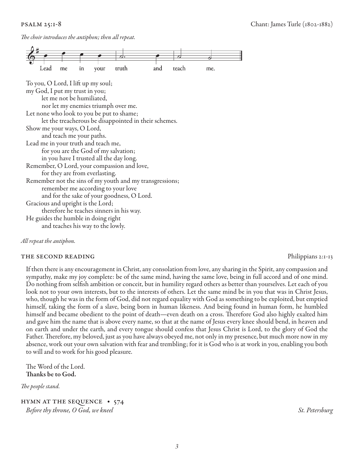### *The choir introduces the antiphon; then all repeat.*



#### *All repeat the antiphon.*

#### THE SECOND READING Philippians 2:1-13

If then there is any encouragement in Christ, any consolation from love, any sharing in the Spirit, any compassion and sympathy, make my joy complete: be of the same mind, having the same love, being in full accord and of one mind. Do nothing from selfish ambition or conceit, but in humility regard others as better than yourselves. Let each of you look not to your own interests, but to the interests of others. Let the same mind be in you that was in Christ Jesus, who, though he was in the form of God, did not regard equality with God as something to be exploited, but emptied himself, taking the form of a slave, being born in human likeness. And being found in human form, he humbled himself and became obedient to the point of death—even death on a cross. Therefore God also highly exalted him and gave him the name that is above every name, so that at the name of Jesus every knee should bend, in heaven and on earth and under the earth, and every tongue should confess that Jesus Christ is Lord, to the glory of God the Father. Therefore, my beloved, just as you have always obeyed me, not only in my presence, but much more now in my absence, work out your own salvation with fear and trembling; for it is God who is at work in you, enabling you both to will and to work for his good pleasure.

The Word of the Lord. Thanks be to God.

*The people stand.*

hymn at the sequence • 574 *Before thy throne, O God, we kneel* St. Petersburg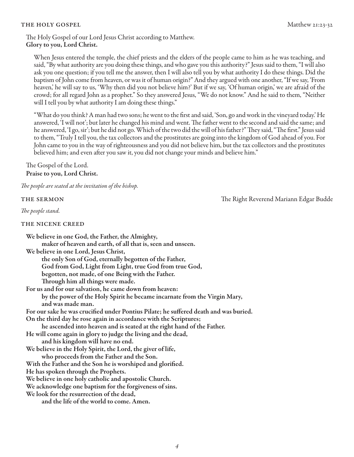#### THE HOLY GOSPEL Matthew 21:23-32

The Holy Gospel of our Lord Jesus Christ according to Matthew. Glory to you, Lord Christ.

When Jesus entered the temple, the chief priests and the elders of the people came to him as he was teaching, and said, "By what authority are you doing these things, and who gave you this authority?" Jesus said to them, "I will also ask you one question; if you tell me the answer, then I will also tell you by what authority I do these things. Did the baptism of John come from heaven, or was it of human origin?" And they argued with one another, "If we say, 'From heaven,' he will say to us, 'Why then did you not believe him?' But if we say, 'Of human origin,' we are afraid of the crowd; for all regard John as a prophet." So they answered Jesus, "We do not know." And he said to them, "Neither will I tell you by what authority I am doing these things."

"What do you think? A man had two sons; he went to the first and said, 'Son, go and work in the vineyard today.' He answered, 'I will not'; but later he changed his mind and went. The father went to the second and said the same; and he answered, 'I go, sir'; but he did not go. Which of the two did the will of his father?" They said, "The first." Jesus said to them, "Truly I tell you, the tax collectors and the prostitutes are going into the kingdom of God ahead of you. For John came to you in the way of righteousness and you did not believe him, but the tax collectors and the prostitutes believed him; and even after you saw it, you did not change your minds and believe him."

The Gospel of the Lord. Praise to you, Lord Christ.

*The people are seated at the invitation of the bishop.*

*The people stand.*

#### the nicene creed

We believe in one God, the Father, the Almighty, maker of heaven and earth, of all that is, seen and unseen. We believe in one Lord, Jesus Christ, the only Son of God, eternally begotten of the Father, God from God, Light from Light, true God from true God, begotten, not made, of one Being with the Father. Through him all things were made. For us and for our salvation, he came down from heaven: by the power of the Holy Spirit he became incarnate from the Virgin Mary, and was made man. For our sake he was crucified under Pontius Pilate; he suffered death and was buried. On the third day he rose again in accordance with the Scriptures; he ascended into heaven and is seated at the right hand of the Father. He will come again in glory to judge the living and the dead, and his kingdom will have no end. We believe in the Holy Spirit, the Lord, the giver of life, who proceeds from the Father and the Son. With the Father and the Son he is worshiped and glorified. He has spoken through the Prophets. We believe in one holy catholic and apostolic Church. We acknowledge one baptism for the forgiveness of sins. We look for the resurrection of the dead, and the life of the world to come. Amen.

the sermon The Right Reverend Mariann Edgar Budde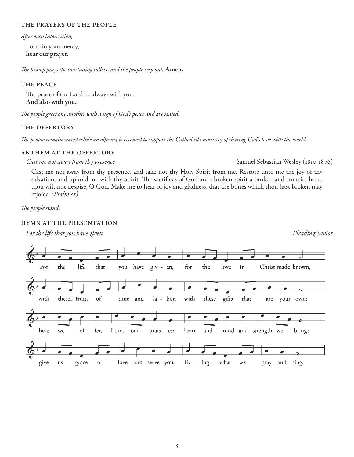#### the prayers of the people

*After each intercession,*

Lord, in your mercy, hear our prayer.

*The bishop prays the concluding collect, and the people respond,* Amen.

#### THE PEACE

The peace of the Lord be always with you. And also with you.

*The people greet one another with a sign of God's peace and are seated.*

#### the offertory

*The people remain seated while an offering is received to support the Cathedral's ministry of sharing God's love with the world.*

#### anthem at the offertory

*Cast me not away from thy presence* Samuel Sebastian Wesley (1810-1876)

Cast me not away from thy presence, and take not thy Holy Spirit from me. Restore unto me the joy of thy salvation, and uphold me with thy Spirit. The sacrifices of God are a broken spirit a broken and contrite heart thou wilt not despise, O God. Make me to hear of joy and gladness, that the bones which thou hast broken may rejoice. *(Psalm 51)*

*The people stand.*

#### hymn at the presentation

*For the life that you have given Pleading Savior*

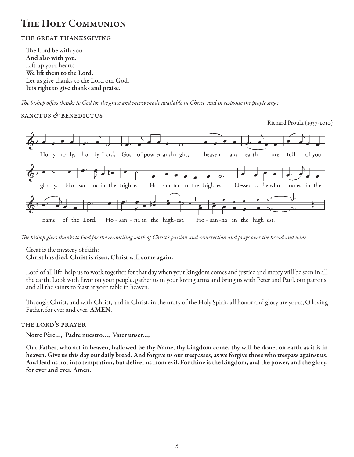# The Holy Communion

# the great thanksgiving

The Lord be with you. And also with you. Lift up your hearts. We lift them to the Lord. Let us give thanks to the Lord our God. It is right to give thanks and praise.

*The bishop offers thanks to God for the grace and mercy made available in Christ, and in response the people sing:*

# sanctus *&* benedictus

Richard Proulx (1937-2010)



*The bishop gives thanks to God for the reconciling work of Christ's passion and resurrection and prays over the bread and wine.*

Great is the mystery of faith: Christ has died. Christ is risen. Christ will come again.

Lord of all life, help us to work together for that day when your kingdom comes and justice and mercy will be seen in all the earth. Look with favor on your people, gather us in your loving arms and bring us with Peter and Paul, our patrons, and all the saints to feast at your table in heaven.

Through Christ, and with Christ, and in Christ, in the unity of the Holy Spirit, all honor and glory are yours, O loving Father, for ever and ever. AMEN.

## the lord's prayer

Notre Père…, Padre nuestro…, Vater unser…,

Our Father, who art in heaven, hallowed be thy Name, thy kingdom come, thy will be done, on earth as it is in heaven. Give us this day our daily bread. And forgive us our trespasses, as we forgive those who trespass against us. And lead us not into temptation, but deliver us from evil. For thine is the kingdom, and the power, and the glory, for ever and ever. Amen.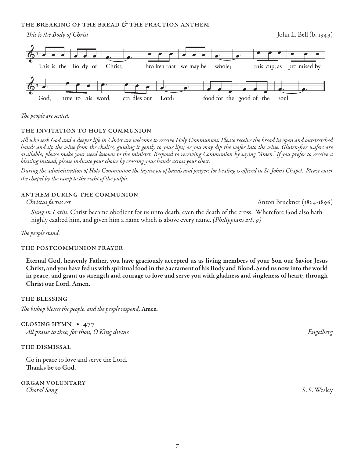### the breaking of the bread *&* the fraction anthem



### *The people are seated.*

#### the invitation to holy communion

*All who seek God and a deeper life in Christ are welcome to receive Holy Communion. Please receive the bread in open and outstretched hands and sip the wine from the chalice, guiding it gently to your lips; or you may dip the wafer into the wine. Gluten-free wafers are available; please make your need known to the minister. Respond to receiving Communion by saying "Amen." If you prefer to receive a blessing instead, please indicate your choice by crossing your hands across your chest.* 

*During the administration of Holy Communion the laying on of hands and prayers for healing is offered in St. John's Chapel. Please enter the chapel by the ramp to the right of the pulpit.*

#### anthem during the communion

*Christus factus est* Anton Bruckner (1824-1896)

*Sung in Latin.* Christ became obedient for us unto death, even the death of the cross. Wherefore God also hath highly exalted him, and given him a name which is above every name. *(Philippians 2:8, 9)*

*The people stand.* 

#### the postcommunion prayer

Eternal God, heavenly Father, you have graciously accepted us as living members of your Son our Savior Jesus Christ, and you have fed us with spiritual food in the Sacrament of his Body and Blood. Send us now into the world in peace, and grant us strength and courage to love and serve you with gladness and singleness of heart; through Christ our Lord. Amen.

#### the blessing

*The bishop blesses the people, and the people respond,* Amen*.*

closing hymn • 477 *All praise to thee, for thou, O King divine Engelberg*

#### the dismissal

Go in peace to love and serve the Lord. Thanks be to God.

### organ voluntary *Choral Song* S. S. Wesley